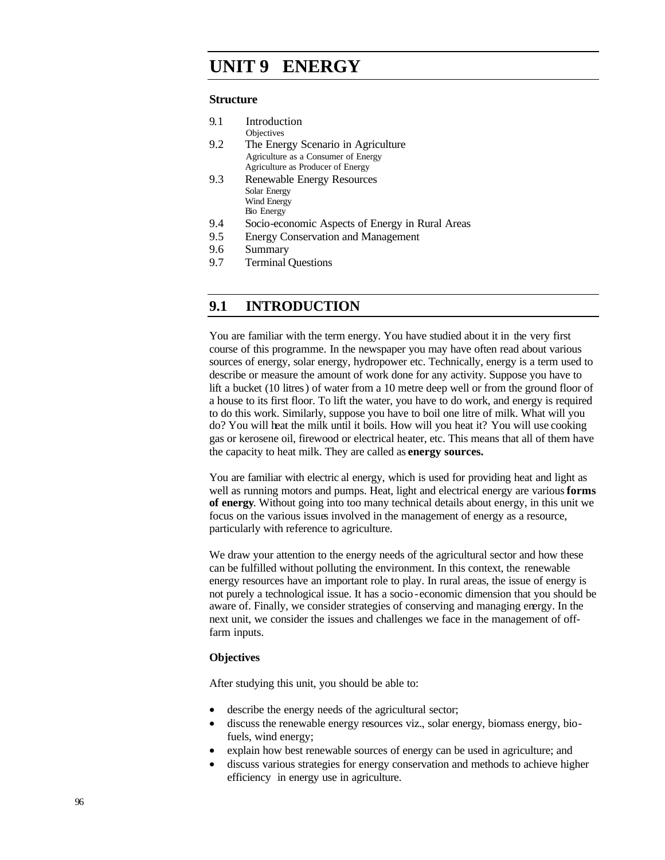# **UNIT 9 ENERGY**

#### **Structure**

| 9.1 | Introduction                        |
|-----|-------------------------------------|
|     | Objectives                          |
| 9.2 | The Energy Scenario in Agriculture  |
|     | Agriculture as a Consumer of Energy |
|     | Agriculture as Producer of Energy   |
| 9.3 | Renewable Energy Resources          |
|     | Solar Energy                        |
|     | Wind Energy                         |
|     | <b>Bio Energy</b>                   |

- 9.4 Socio-economic Aspects of Energy in Rural Areas
- 9.5 Energy Conservation and Management
- 9.6 Summary
- 9.7 Terminal Questions

## **9.1 INTRODUCTION**

You are familiar with the term energy. You have studied about it in the very first course of this programme. In the newspaper you may have often read about various sources of energy, solar energy, hydropower etc. Technically, energy is a term used to describe or measure the amount of work done for any activity. Suppose you have to lift a bucket (10 litres) of water from a 10 metre deep well or from the ground floor of a house to its first floor. To lift the water, you have to do work, and energy is required to do this work. Similarly, suppose you have to boil one litre of milk. What will you do? You will heat the milk until it boils. How will you heat it? You will use cooking gas or kerosene oil, firewood or electrical heater, etc. This means that all of them have the capacity to heat milk. They are called as **energy sources.**

You are familiar with electric al energy, which is used for providing heat and light as well as running motors and pumps. Heat, light and electrical energy are various **forms of energy**. Without going into too many technical details about energy, in this unit we focus on the various issues involved in the management of energy as a resource, particularly with reference to agriculture.

We draw your attention to the energy needs of the agricultural sector and how these can be fulfilled without polluting the environment. In this context, the renewable energy resources have an important role to play. In rural areas, the issue of energy is not purely a technological issue. It has a socio-economic dimension that you should be aware of. Finally, we consider strategies of conserving and managing energy. In the next unit, we consider the issues and challenges we face in the management of offfarm inputs.

#### **Objectives**

After studying this unit, you should be able to:

- describe the energy needs of the agricultural sector;
- discuss the renewable energy resources viz., solar energy, biomass energy, biofuels, wind energy;
- explain how best renewable sources of energy can be used in agriculture; and
- discuss various strategies for energy conservation and methods to achieve higher efficiency in energy use in agriculture.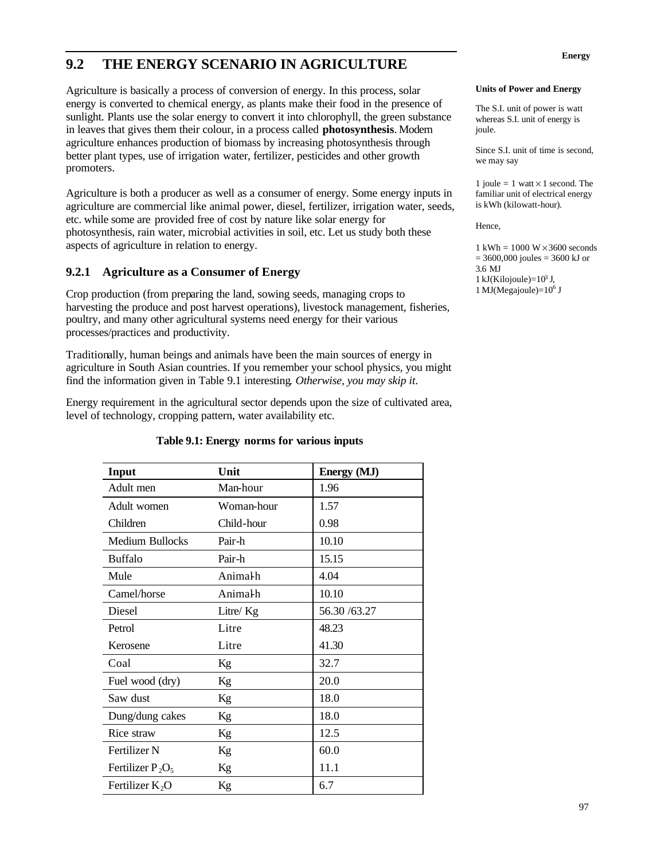# **9.2 THE ENERGY SCENARIO IN AGRICULTURE**

Agriculture is basically a process of conversion of energy. In this process, solar energy is converted to chemical energy, as plants make their food in the presence of sunlight. Plants use the solar energy to convert it into chlorophyll, the green substance in leaves that gives them their colour, in a process called **photosynthesis**. Modern agriculture enhances production of biomass by increasing photosynthesis through better plant types, use of irrigation water, fertilizer, pesticides and other growth promoters.

Agriculture is both a producer as well as a consumer of energy. Some energy inputs in agriculture are commercial like animal power, diesel, fertilizer, irrigation water, seeds, etc. while some are provided free of cost by nature like solar energy for photosynthesis, rain water, microbial activities in soil, etc. Let us study both these aspects of agriculture in relation to energy.

## **9.2.1 Agriculture as a Consumer of Energy**

Crop production (from preparing the land, sowing seeds, managing crops to harvesting the produce and post harvest operations), livestock management, fisheries, poultry, and many other agricultural systems need energy for their various processes/practices and productivity.

Traditionally, human beings and animals have been the main sources of energy in agriculture in South Asian countries. If you remember your school physics, you might find the information given in Table 9.1 interesting*. Otherwise, you may skip it*.

Energy requirement in the agricultural sector depends upon the size of cultivated area, level of technology, cropping pattern, water availability etc.

| Input                  | Unit       | Energy (MJ)  |  |
|------------------------|------------|--------------|--|
| Adult men              | Man-hour   | 1.96         |  |
| Adult women            | Woman-hour | 1.57         |  |
| Children               | Child-hour | 0.98         |  |
| <b>Medium Bullocks</b> | Pair-h     | 10.10        |  |
| <b>Buffalo</b>         | Pair-h     | 15.15        |  |
| Mule                   | Animalh    | 4.04         |  |
| Camel/horse            | Animalh    | 10.10        |  |
| Diesel                 | Litre/ Kg  | 56.30 /63.27 |  |
| Petrol                 | Litre      | 48.23        |  |
| Kerosene               | Litre      | 41.30        |  |
| Coal                   | Kg         | 32.7         |  |
| Fuel wood (dry)        | Kg         | 20.0         |  |
| Saw dust               | Kg         | 18.0         |  |
| Dung/dung cakes        | Kg         | 18.0         |  |
| Rice straw             | Kg         | 12.5         |  |
| <b>Fertilizer N</b>    | Kg         | 60.0         |  |
| Fertilizer $P_2O_5$    | Kg         | 11.1         |  |
| Fertilizer $K_2O$      | Kg         | 6.7          |  |

#### **Table 9.1: Energy norms for various inputs**

#### **Units of Power and Energy**

The S.I. unit of power is watt whereas S.I. unit of energy is joule.

Since S.I. unit of time is second, we may say

1 joule = 1 watt  $\times$  1 second. The familiar unit of electrical energy is kWh (kilowatt-hour).

Hence,

 $1 \text{ kWh} = 1000 \text{ W} \times 3600 \text{ seconds}$  $= 3600,000$  joules  $= 3600$  kJ or 3.6 MJ 1 kJ(Kilojoule)= $10^3$  J, 1 MJ(Megajoule)= $10^6$  J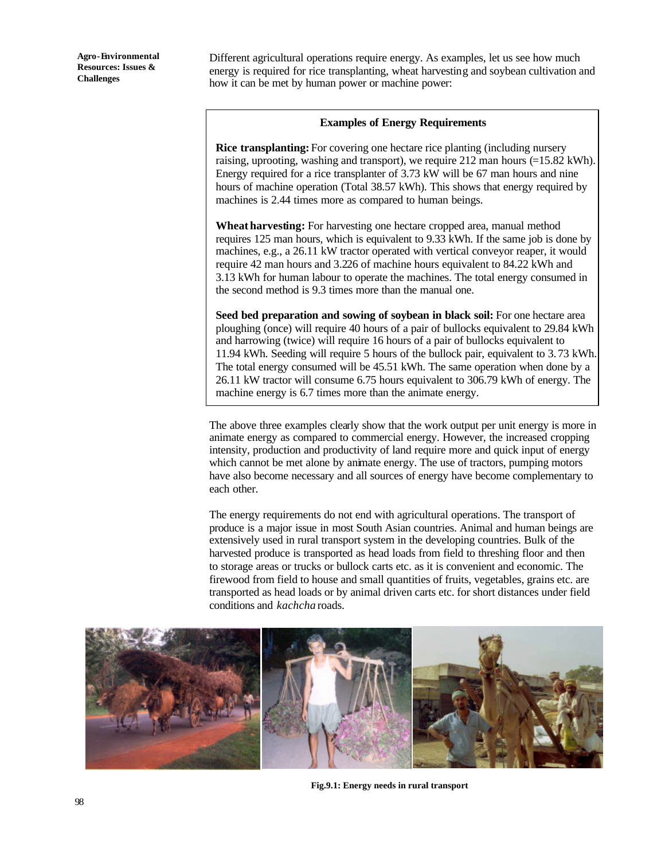Different agricultural operations require energy. As examples, let us see how much energy is required for rice transplanting, wheat harvesting and soybean cultivation and how it can be met by human power or machine power:

#### **Examples of Energy Requirements**

**Rice transplanting:** For covering one hectare rice planting (including nursery raising, uprooting, washing and transport), we require 212 man hours (=15.82 kWh). Energy required for a rice transplanter of 3.73 kW will be 67 man hours and nine hours of machine operation (Total 38.57 kWh). This shows that energy required by machines is 2.44 times more as compared to human beings.

**Wheat harvesting:** For harvesting one hectare cropped area, manual method requires 125 man hours, which is equivalent to 9.33 kWh. If the same job is done by machines, e.g., a 26.11 kW tractor operated with vertical conveyor reaper, it would require 42 man hours and 3.226 of machine hours equivalent to 84.22 kWh and 3.13 kWh for human labour to operate the machines. The total energy consumed in the second method is 9.3 times more than the manual one.

**Seed bed preparation and sowing of soybean in black soil:** For one hectare area ploughing (once) will require 40 hours of a pair of bullocks equivalent to 29.84 kWh and harrowing (twice) will require 16 hours of a pair of bullocks equivalent to 11.94 kWh. Seeding will require 5 hours of the bullock pair, equivalent to 3.73 kWh. The total energy consumed will be 45.51 kWh. The same operation when done by a 26.11 kW tractor will consume 6.75 hours equivalent to 306.79 kWh of energy. The machine energy is 6.7 times more than the animate energy.

The above three examples clearly show that the work output per unit energy is more in animate energy as compared to commercial energy. However, the increased cropping intensity, production and productivity of land require more and quick input of energy which cannot be met alone by animate energy. The use of tractors, pumping motors have also become necessary and all sources of energy have become complementary to each other.

The energy requirements do not end with agricultural operations. The transport of produce is a major issue in most South Asian countries. Animal and human beings are extensively used in rural transport system in the developing countries. Bulk of the harvested produce is transported as head loads from field to threshing floor and then to storage areas or trucks or bullock carts etc. as it is convenient and economic. The firewood from field to house and small quantities of fruits, vegetables, grains etc. are transported as head loads or by animal driven carts etc. for short distances under field conditions and *kachcha* roads.



**Fig.9.1: Energy needs in rural transport**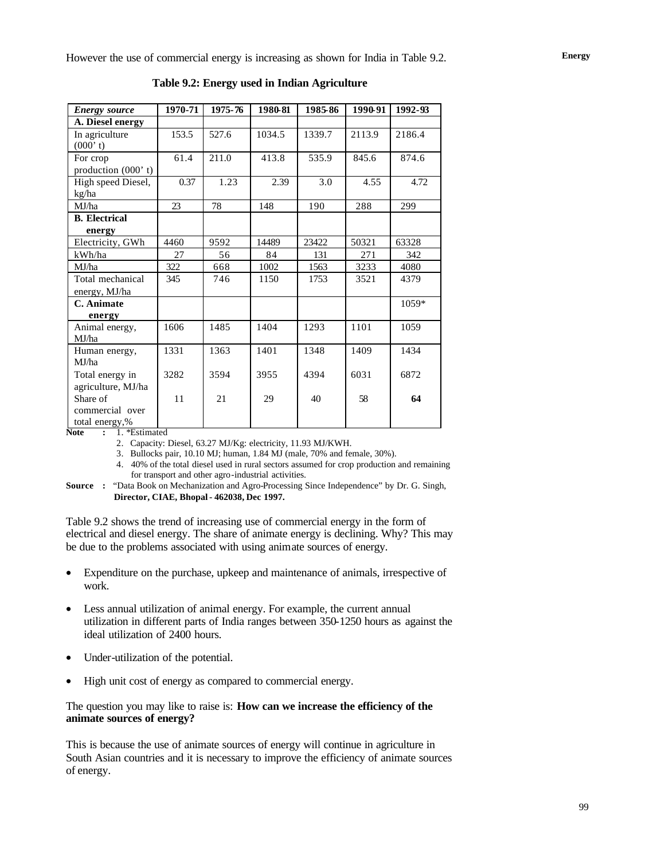| <b>Energy source</b>  | 1970-71 | 1975-76 | 1980-81 | 1985-86 | 1990-91 | 1992-93 |
|-----------------------|---------|---------|---------|---------|---------|---------|
| A. Diesel energy      |         |         |         |         |         |         |
| In agriculture        | 153.5   | 527.6   | 1034.5  | 1339.7  | 2113.9  | 2186.4  |
| (000' t)              |         |         |         |         |         |         |
| For crop              | 61.4    | 211.0   | 413.8   | 535.9   | 845.6   | 874.6   |
| production $(000' t)$ |         |         |         |         |         |         |
| High speed Diesel,    | 0.37    | 1.23    | 2.39    | 3.0     | 4.55    | 4.72    |
| kg/ha                 |         |         |         |         |         |         |
| MJ/ha                 | 23      | 78      | 148     | 190     | 288     | 299     |
| <b>B.</b> Electrical  |         |         |         |         |         |         |
| energy                |         |         |         |         |         |         |
| Electricity, GWh      | 4460    | 9592    | 14489   | 23422   | 50321   | 63328   |
| kWh/ha                | 27      | 56      | 84      | 131     | 271     | 342     |
| MJ/ha                 | 322     | 668     | 1002    | 1563    | 3233    | 4080    |
| Total mechanical      | 345     | 746     | 1150    | 1753    | 3521    | 4379    |
| energy, MJ/ha         |         |         |         |         |         |         |
| C. Animate            |         |         |         |         |         | 1059*   |
| energy                |         |         |         |         |         |         |
| Animal energy,        | 1606    | 1485    | 1404    | 1293    | 1101    | 1059    |
| MJ/ha                 |         |         |         |         |         |         |
| Human energy,         | 1331    | 1363    | 1401    | 1348    | 1409    | 1434    |
| MJ/ha                 |         |         |         |         |         |         |
| Total energy in       | 3282    | 3594    | 3955    | 4394    | 6031    | 6872    |
| agriculture, MJ/ha    |         |         |         |         |         |         |
| Share of              | 11      | 21      | 29      | 40      | 58      | 64      |
| commercial over       |         |         |         |         |         |         |
| total energy,%        |         |         |         |         |         |         |

**Table 9.2: Energy used in Indian Agriculture**

**Note :** 1. \*Estimated

2. Capacity: Diesel, 63.27 MJ/Kg: electricity, 11.93 MJ/KWH.

3. Bullocks pair, 10.10 MJ; human, 1.84 MJ (male, 70% and female, 30%).

4. 40% of the total diesel used in rural sectors assumed for crop production and remaining for transport and other agro-industrial activities.

**Source :** "Data Book on Mechanization and Agro-Processing Since Independence" by Dr. G. Singh, **Director, CIAE, Bhopal - 462038, Dec 1997.**

Table 9.2 shows the trend of increasing use of commercial energy in the form of electrical and diesel energy. The share of animate energy is declining. Why? This may be due to the problems associated with using animate sources of energy.

- Expenditure on the purchase, upkeep and maintenance of animals, irrespective of work.
- Less annual utilization of animal energy. For example, the current annual utilization in different parts of India ranges between 350-1250 hours as against the ideal utilization of 2400 hours.
- Under-utilization of the potential.
- High unit cost of energy as compared to commercial energy.

#### The question you may like to raise is: **How can we increase the efficiency of the animate sources of energy?**

This is because the use of animate sources of energy will continue in agriculture in South Asian countries and it is necessary to improve the efficiency of animate sources of energy.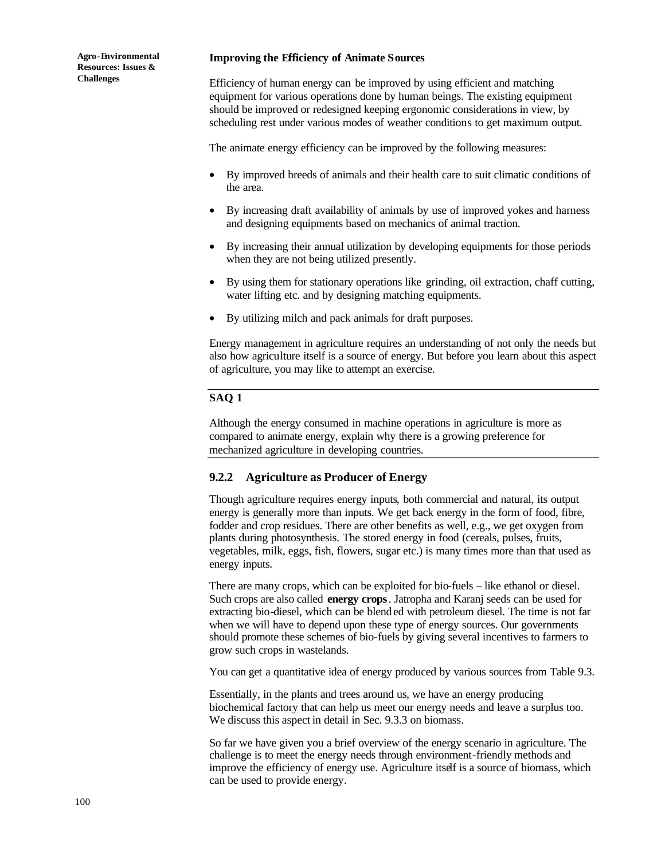#### **Improving the Efficiency of Animate Sources**

Efficiency of human energy can be improved by using efficient and matching equipment for various operations done by human beings. The existing equipment should be improved or redesigned keeping ergonomic considerations in view, by scheduling rest under various modes of weather conditions to get maximum output.

The animate energy efficiency can be improved by the following measures:

- By improved breeds of animals and their health care to suit climatic conditions of the area.
- By increasing draft availability of animals by use of improved yokes and harness and designing equipments based on mechanics of animal traction.
- By increasing their annual utilization by developing equipments for those periods when they are not being utilized presently.
- By using them for stationary operations like grinding, oil extraction, chaff cutting, water lifting etc. and by designing matching equipments.
- By utilizing milch and pack animals for draft purposes.

Energy management in agriculture requires an understanding of not only the needs but also how agriculture itself is a source of energy. But before you learn about this aspect of agriculture, you may like to attempt an exercise.

#### **SAQ 1**

Although the energy consumed in machine operations in agriculture is more as compared to animate energy, explain why there is a growing preference for mechanized agriculture in developing countries.

### **9.2.2 Agriculture as Producer of Energy**

Though agriculture requires energy inputs, both commercial and natural, its output energy is generally more than inputs. We get back energy in the form of food, fibre, fodder and crop residues. There are other benefits as well, e.g., we get oxygen from plants during photosynthesis. The stored energy in food (cereals, pulses, fruits, vegetables, milk, eggs, fish, flowers, sugar etc.) is many times more than that used as energy inputs.

There are many crops, which can be exploited for bio-fuels – like ethanol or diesel. Such crops are also called **energy crops**. Jatropha and Karanj seeds can be used for extracting bio-diesel, which can be blend ed with petroleum diesel. The time is not far when we will have to depend upon these type of energy sources. Our governments should promote these schemes of bio-fuels by giving several incentives to farmers to grow such crops in wastelands.

You can get a quantitative idea of energy produced by various sources from Table 9.3.

Essentially, in the plants and trees around us, we have an energy producing biochemical factory that can help us meet our energy needs and leave a surplus too. We discuss this aspect in detail in Sec. 9.3.3 on biomass.

So far we have given you a brief overview of the energy scenario in agriculture. The challenge is to meet the energy needs through environment-friendly methods and improve the efficiency of energy use. Agriculture itself is a source of biomass, which can be used to provide energy.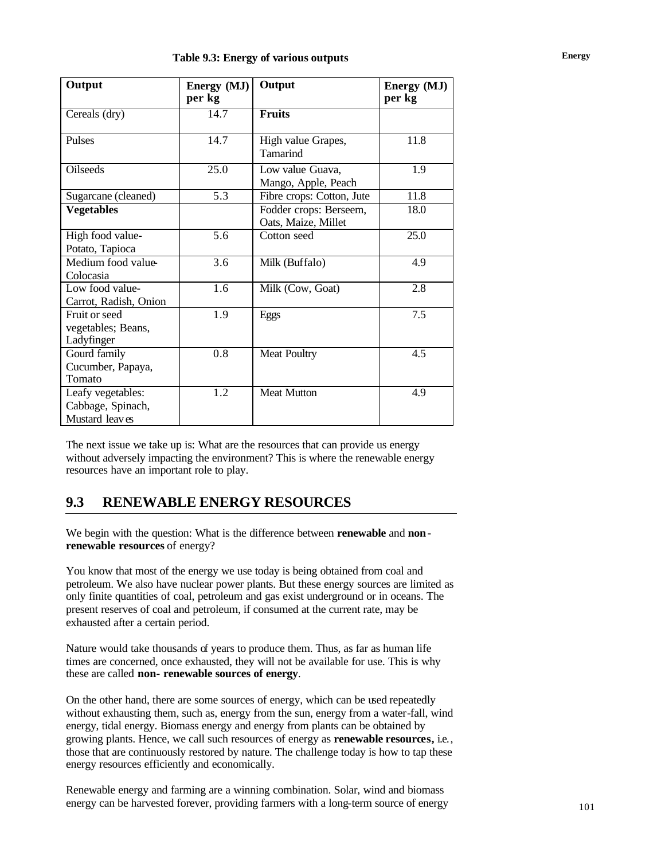| Output                                                   | Energy (MJ)<br>per kg | Output                                        | Energy (MJ)<br>per kg |
|----------------------------------------------------------|-----------------------|-----------------------------------------------|-----------------------|
| Cereals (dry)                                            | 14.7                  | <b>Fruits</b>                                 |                       |
| Pulses                                                   | 14.7                  | High value Grapes,<br>Tamarind                | 11.8                  |
| <b>Oilseeds</b>                                          | 25.0                  | Low value Guava,<br>Mango, Apple, Peach       | 1.9                   |
| Sugarcane (cleaned)                                      | 5.3                   | Fibre crops: Cotton, Jute                     | 11.8                  |
| <b>Vegetables</b>                                        |                       | Fodder crops: Berseem,<br>Oats, Maize, Millet | 18.0                  |
| High food value-<br>Potato, Tapioca                      | 5.6                   | Cotton seed                                   | 25.0                  |
| Medium food value-<br>Colocasia                          | 3.6                   | Milk (Buffalo)                                | 4.9                   |
| Low food value-<br>Carrot, Radish, Onion                 | 1.6                   | Milk (Cow, Goat)                              | 2.8                   |
| Fruit or seed<br>vegetables; Beans,<br>Ladyfinger        | 1.9                   | Eggs                                          | 7.5                   |
| Gourd family<br>Cucumber, Papaya,<br>Tomato              | 0.8                   | <b>Meat Poultry</b>                           | 4.5                   |
| Leafy vegetables:<br>Cabbage, Spinach,<br>Mustard leaves | 1.2                   | <b>Meat Mutton</b>                            | 4.9                   |

The next issue we take up is: What are the resources that can provide us energy without adversely impacting the environment? This is where the renewable energy resources have an important role to play.

## **9.3 RENEWABLE ENERGY RESOURCES**

We begin with the question: What is the difference between **renewable** and **nonrenewable resources** of energy?

You know that most of the energy we use today is being obtained from coal and petroleum. We also have nuclear power plants. But these energy sources are limited as only finite quantities of coal, petroleum and gas exist underground or in oceans. The present reserves of coal and petroleum, if consumed at the current rate, may be exhausted after a certain period.

Nature would take thousands of years to produce them. Thus, as far as human life times are concerned, once exhausted, they will not be available for use. This is why these are called **non- renewable sources of energy**.

On the other hand, there are some sources of energy, which can be used repeatedly without exhausting them, such as, energy from the sun, energy from a water-fall, wind energy, tidal energy. Biomass energy and energy from plants can be obtained by growing plants. Hence, we call such resources of energy as **renewable resources,** i.e., those that are continuously restored by nature. The challenge today is how to tap these energy resources efficiently and economically.

Renewable energy and farming are a winning combination. Solar, wind and biomass energy can be harvested forever, providing farmers with a long-term source of energy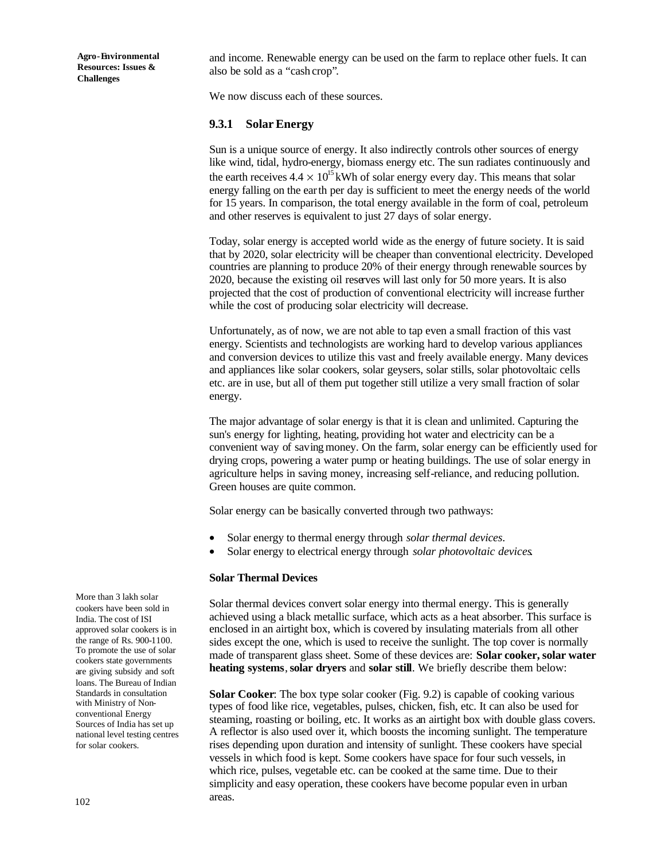and income. Renewable energy can be used on the farm to replace other fuels. It can also be sold as a "cash crop"*.*

We now discuss each of these sources.

#### **9.3.1 Solar Energy**

Sun is a unique source of energy. It also indirectly controls other sources of energy like wind, tidal, hydro-energy, biomass energy etc. The sun radiates continuously and the earth receives  $4.4 \times 10^{15}$  kWh of solar energy every day. This means that solar energy falling on the earth per day is sufficient to meet the energy needs of the world for 15 years. In comparison, the total energy available in the form of coal, petroleum and other reserves is equivalent to just 27 days of solar energy.

Today, solar energy is accepted world wide as the energy of future society. It is said that by 2020, solar electricity will be cheaper than conventional electricity. Developed countries are planning to produce 20% of their energy through renewable sources by 2020, because the existing oil reserves will last only for 50 more years. It is also projected that the cost of production of conventional electricity will increase further while the cost of producing solar electricity will decrease.

Unfortunately, as of now, we are not able to tap even a small fraction of this vast energy. Scientists and technologists are working hard to develop various appliances and conversion devices to utilize this vast and freely available energy. Many devices and appliances like solar cookers, solar geysers, solar stills, solar photovoltaic cells etc. are in use, but all of them put together still utilize a very small fraction of solar energy.

The major advantage of solar energy is that it is clean and unlimited. Capturing the sun's energy for lighting, heating, providing hot water and electricity can be a convenient way of saving money. On the farm, solar energy can be efficiently used for drying crops, powering a water pump or heating buildings. The use of solar energy in agriculture helps in saving money, increasing self-reliance, and reducing pollution. Green houses are quite common.

Solar energy can be basically converted through two pathways:

- Solar energy to thermal energy through *solar thermal devices*.
- Solar energy to electrical energy through *solar photovoltaic devices*.

#### **Solar Thermal Devices**

Solar thermal devices convert solar energy into thermal energy. This is generally achieved using a black metallic surface, which acts as a heat absorber. This surface is enclosed in an airtight box, which is covered by insulating materials from all other sides except the one, which is used to receive the sunlight. The top cover is normally made of transparent glass sheet. Some of these devices are: **Solar cooker, solar water heating systems**, **solar dryers** and **solar still**. We briefly describe them below:

**Solar Cooker**: The box type solar cooker (Fig. 9.2) is capable of cooking various types of food like rice, vegetables, pulses, chicken, fish, etc. It can also be used for steaming, roasting or boiling, etc. It works as an airtight box with double glass covers. A reflector is also used over it, which boosts the incoming sunlight. The temperature rises depending upon duration and intensity of sunlight. These cookers have special vessels in which food is kept. Some cookers have space for four such vessels, in which rice, pulses, vegetable etc. can be cooked at the same time. Due to their simplicity and easy operation, these cookers have become popular even in urban areas.

More than 3 lakh solar cookers have been sold in India. The cost of ISI approved solar cookers is in the range of Rs. 900-1100. To promote the use of solar cookers state governments are giving subsidy and soft loans. The Bureau of Indian Standards in consultation with Ministry of Nonconventional Energy Sources of India has set up national level testing centres for solar cookers.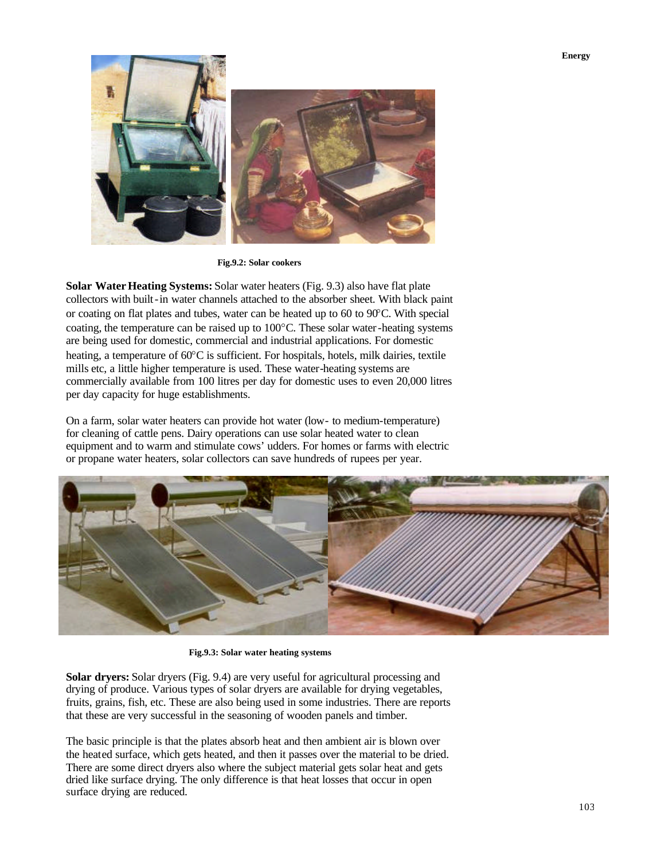

**Fig.9.2: Solar cookers**

**Solar Water Heating Systems:** Solar water heaters (Fig. 9.3) also have flat plate collectors with built-in water channels attached to the absorber sheet. With black paint or coating on flat plates and tubes, water can be heated up to 60 to 90°C. With special coating, the temperature can be raised up to 100°C. These solar water-heating systems are being used for domestic, commercial and industrial applications. For domestic heating, a temperature of  $60^{\circ}$ C is sufficient. For hospitals, hotels, milk dairies, textile mills etc, a little higher temperature is used. These water-heating systems are commercially available from 100 litres per day for domestic uses to even 20,000 litres per day capacity for huge establishments.

On a farm, solar water heaters can provide hot water (low- to medium-temperature) for cleaning of cattle pens. Dairy operations can use solar heated water to clean equipment and to warm and stimulate cows' udders. For homes or farms with electric or propane water heaters, solar collectors can save hundreds of rupees per year.



**Fig.9.3: Solar water heating systems**

**Solar dryers:** Solar dryers (Fig. 9.4) are very useful for agricultural processing and drying of produce. Various types of solar dryers are available for drying vegetables, fruits, grains, fish, etc. These are also being used in some industries. There are reports that these are very successful in the seasoning of wooden panels and timber.

The basic principle is that the plates absorb heat and then ambient air is blown over the heated surface, which gets heated, and then it passes over the material to be dried. There are some direct dryers also where the subject material gets solar heat and gets dried like surface drying. The only difference is that heat losses that occur in open surface drying are reduced.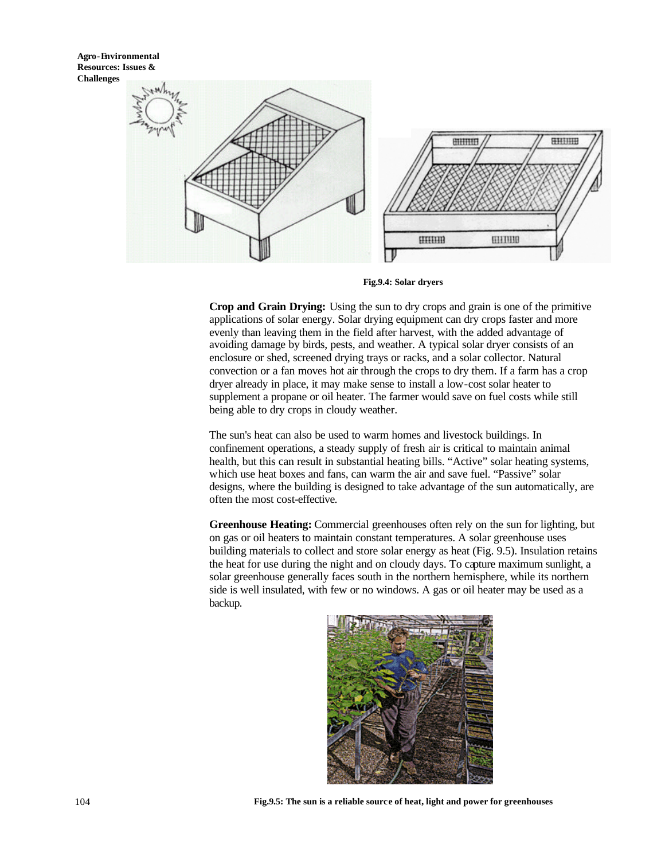

**Fig.9.4: Solar dryers**

**Crop and Grain Drying:** Using the sun to dry crops and grain is one of the primitive applications of solar energy. Solar drying equipment can dry crops faster and more evenly than leaving them in the field after harvest, with the added advantage of avoiding damage by birds, pests, and weather. A typical solar dryer consists of an enclosure or shed, screened drying trays or racks, and a solar collector. Natural convection or a fan moves hot air through the crops to dry them. If a farm has a crop dryer already in place, it may make sense to install a low-cost solar heater to supplement a propane or oil heater. The farmer would save on fuel costs while still being able to dry crops in cloudy weather.

The sun's heat can also be used to warm homes and livestock buildings. In confinement operations, a steady supply of fresh air is critical to maintain animal health, but this can result in substantial heating bills. "Active" solar heating systems, which use heat boxes and fans, can warm the air and save fuel. "Passive" solar designs, where the building is designed to take advantage of the sun automatically, are often the most cost-effective.

**Greenhouse Heating:** Commercial greenhouses often rely on the sun for lighting, but on gas or oil heaters to maintain constant temperatures. A solar greenhouse uses building materials to collect and store solar energy as heat (Fig. 9.5). Insulation retains the heat for use during the night and on cloudy days. To capture maximum sunlight, a solar greenhouse generally faces south in the northern hemisphere, while its northern side is well insulated, with few or no windows. A gas or oil heater may be used as a backup.

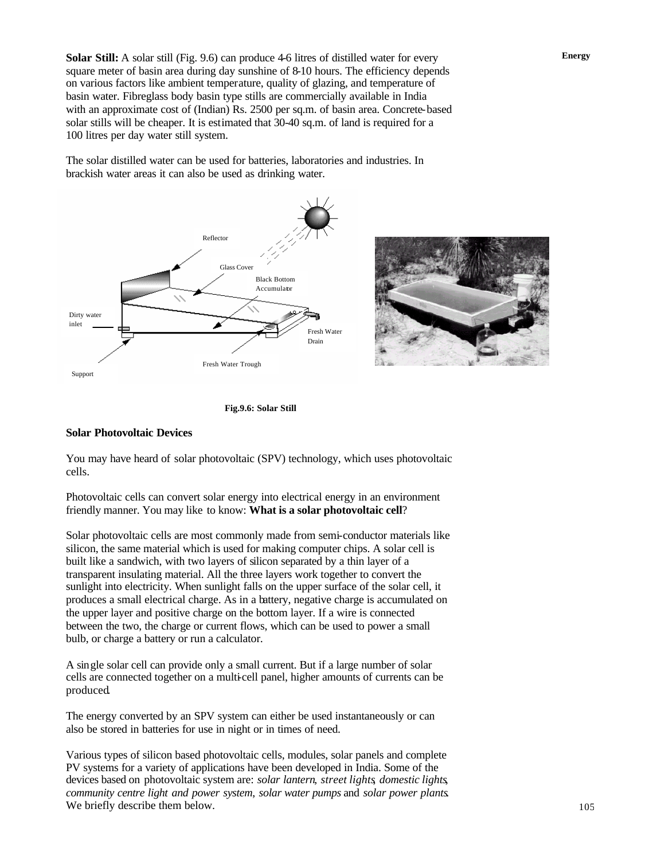**Solar Still:** A solar still (Fig. 9.6) can produce 4-6 litres of distilled water for every square meter of basin area during day sunshine of 8-10 hours. The efficiency depends on various factors like ambient temperature, quality of glazing, and temperature of basin water. Fibreglass body basin type stills are commercially available in India with an approximate cost of (Indian) Rs. 2500 per sq.m. of basin area. Concrete-based solar stills will be cheaper. It is estimated that 30-40 sq.m. of land is required for a 100 litres per day water still system.

The solar distilled water can be used for batteries, laboratories and industries. In brackish water areas it can also be used as drinking water.







#### **Solar Photovoltaic Devices**

You may have heard of solar photovoltaic (SPV) technology, which uses photovoltaic cells.

Photovoltaic cells can convert solar energy into electrical energy in an environment friendly manner. You may like to know: **What is a solar photovoltaic cell**?

Solar photovoltaic cells are most commonly made from semi-conductor materials like silicon, the same material which is used for making computer chips. A solar cell is built like a sandwich, with two layers of silicon separated by a thin layer of a transparent insulating material. All the three layers work together to convert the sunlight into electricity. When sunlight falls on the upper surface of the solar cell, it produces a small electrical charge. As in a battery, negative charge is accumulated on the upper layer and positive charge on the bottom layer. If a wire is connected between the two, the charge or current flows, which can be used to power a small bulb, or charge a battery or run a calculator.

A single solar cell can provide only a small current. But if a large number of solar cells are connected together on a multi-cell panel, higher amounts of currents can be produced.

The energy converted by an SPV system can either be used instantaneously or can also be stored in batteries for use in night or in times of need.

Various types of silicon based photovoltaic cells, modules, solar panels and complete PV systems for a variety of applications have been developed in India. Some of the devices based on photovoltaic system are: *solar lantern*, *street lights*, *domestic lights*, *community centre light and power system*, *solar water pumps* and *solar power plants*. We briefly describe them below.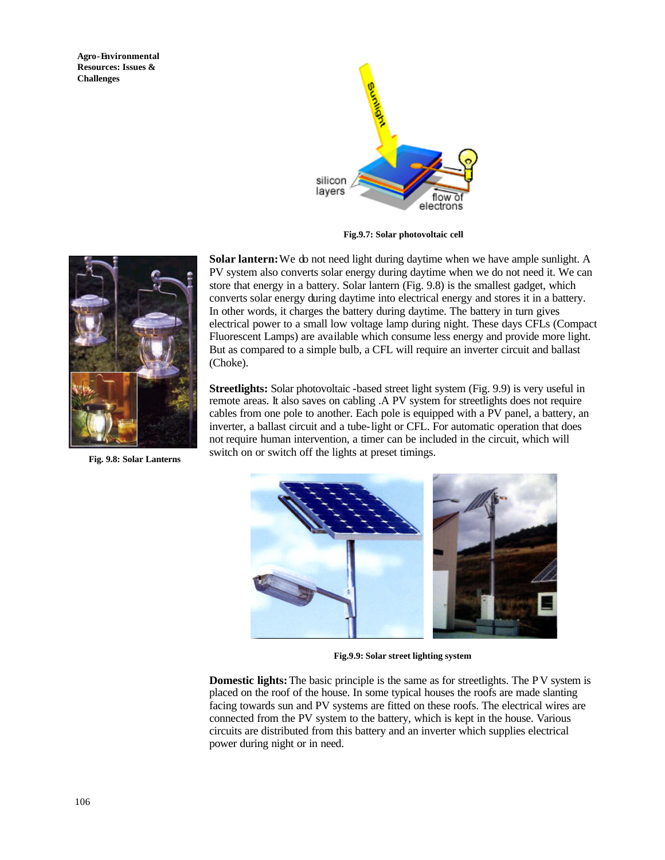

**Fig.9.7: Solar photovoltaic cell**



**Fig. 9.8: Solar Lanterns**

**Solar lantern:** We do not need light during daytime when we have ample sunlight. A PV system also converts solar energy during daytime when we do not need it. We can store that energy in a battery. Solar lantern (Fig. 9.8) is the smallest gadget, which converts solar energy during daytime into electrical energy and stores it in a battery. In other words, it charges the battery during daytime. The battery in turn gives electrical power to a small low voltage lamp during night. These days CFLs (Compact Fluorescent Lamps) are available which consume less energy and provide more light. But as compared to a simple bulb, a CFL will require an inverter circuit and ballast (Choke).

**Streetlights:** Solar photovoltaic -based street light system (Fig. 9.9) is very useful in remote areas. It also saves on cabling .A PV system for streetlights does not require cables from one pole to another. Each pole is equipped with a PV panel, a battery, an inverter, a ballast circuit and a tube-light or CFL. For automatic operation that does not require human intervention, a timer can be included in the circuit, which will switch on or switch off the lights at preset timings.



**Fig.9.9: Solar street lighting system**

**Domestic lights:** The basic principle is the same as for streetlights. The PV system is placed on the roof of the house. In some typical houses the roofs are made slanting facing towards sun and PV systems are fitted on these roofs. The electrical wires are connected from the PV system to the battery, which is kept in the house. Various circuits are distributed from this battery and an inverter which supplies electrical power during night or in need.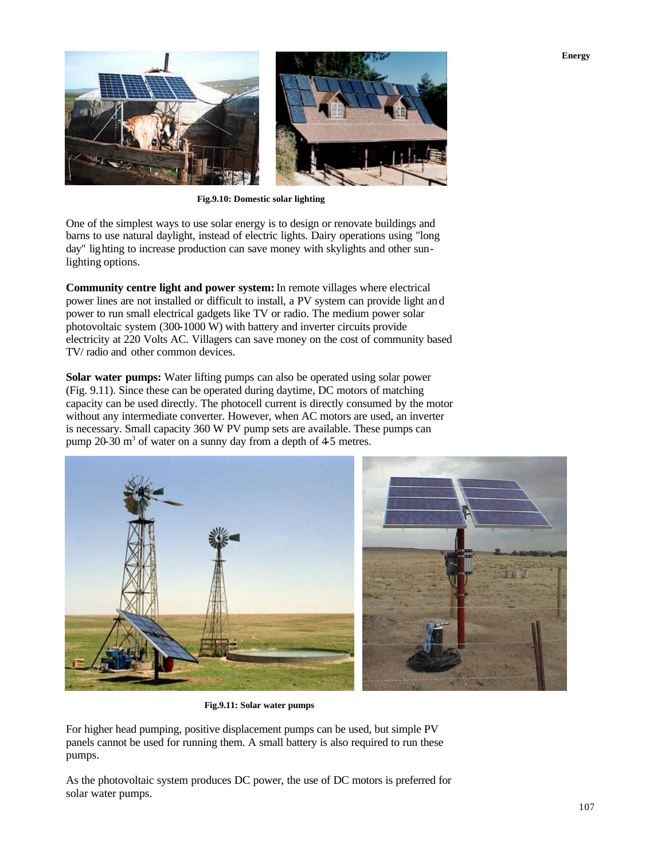

**Fig.9.10: Domestic solar lighting**

One of the simplest ways to use solar energy is to design or renovate buildings and barns to use natural daylight, instead of electric lights. Dairy operations using "long day" lighting to increase production can save money with skylights and other sunlighting options.

**Community centre light and power system:** In remote villages where electrical power lines are not installed or difficult to install, a PV system can provide light and power to run small electrical gadgets like TV or radio. The medium power solar photovoltaic system (300-1000 W) with battery and inverter circuits provide electricity at 220 Volts AC. Villagers can save money on the cost of community based TV/ radio and other common devices.

**Solar water pumps:** Water lifting pumps can also be operated using solar power (Fig. 9.11). Since these can be operated during daytime, DC motors of matching capacity can be used directly. The photocell current is directly consumed by the motor without any intermediate converter. However, when AC motors are used, an inverter is necessary. Small capacity 360 W PV pump sets are available. These pumps can pump 20-30  $\text{m}^3$  of water on a sunny day from a depth of 4-5 metres.



**Fig.9.11: Solar water pumps**

For higher head pumping, positive displacement pumps can be used, but simple PV panels cannot be used for running them. A small battery is also required to run these pumps.

As the photovoltaic system produces DC power, the use of DC motors is preferred for solar water pumps.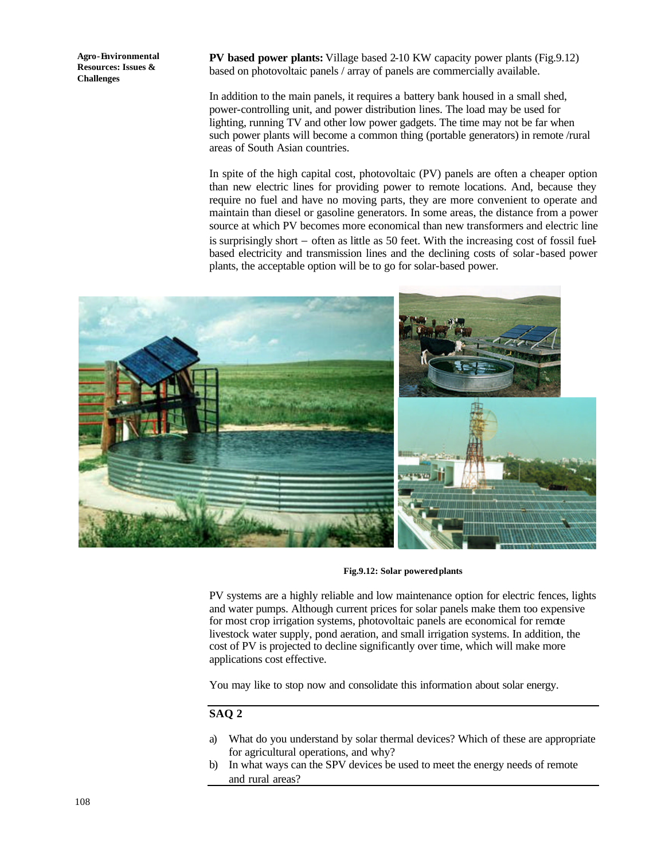**PV based power plants:** Village based 2-10 KW capacity power plants (Fig.9.12) based on photovoltaic panels / array of panels are commercially available.

In addition to the main panels, it requires a battery bank housed in a small shed, power-controlling unit, and power distribution lines. The load may be used for lighting, running TV and other low power gadgets. The time may not be far when such power plants will become a common thing (portable generators) in remote /rural areas of South Asian countries.

In spite of the high capital cost, photovoltaic (PV) panels are often a cheaper option than new electric lines for providing power to remote locations. And, because they require no fuel and have no moving parts, they are more convenient to operate and maintain than diesel or gasoline generators. In some areas, the distance from a power source at which PV becomes more economical than new transformers and electric line is surprisingly short − often as little as 50 feet. With the increasing cost of fossil fuelbased electricity and transmission lines and the declining costs of solar-based power plants, the acceptable option will be to go for solar-based power.



**Fig.9.12: Solar powered plants**

PV systems are a highly reliable and low maintenance option for electric fences, lights and water pumps. Although current prices for solar panels make them too expensive for most crop irrigation systems, photovoltaic panels are economical for remote livestock water supply, pond aeration, and small irrigation systems. In addition, the cost of PV is projected to decline significantly over time, which will make more applications cost effective.

You may like to stop now and consolidate this information about solar energy.

### **SAQ 2**

- a) What do you understand by solar thermal devices? Which of these are appropriate for agricultural operations, and why?
- In what ways can the SPV devices be used to meet the energy needs of remote and rural areas?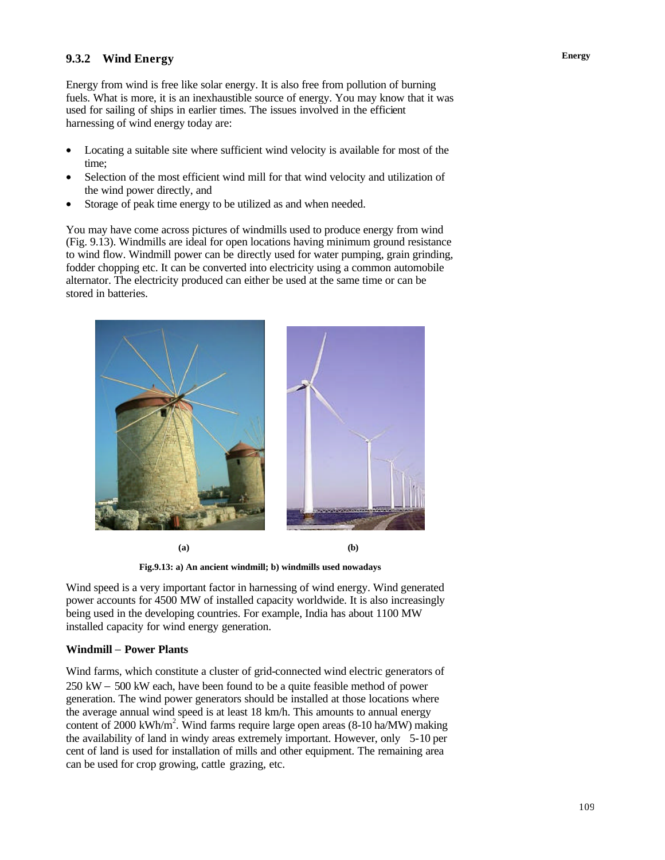## **Energy 9.3.2 Wind Energy**

Energy from wind is free like solar energy. It is also free from pollution of burning fuels. What is more, it is an inexhaustible source of energy. You may know that it was used for sailing of ships in earlier times. The issues involved in the efficient harnessing of wind energy today are:

- Locating a suitable site where sufficient wind velocity is available for most of the time;
- Selection of the most efficient wind mill for that wind velocity and utilization of the wind power directly, and
- Storage of peak time energy to be utilized as and when needed.

You may have come across pictures of windmills used to produce energy from wind (Fig. 9.13). Windmills are ideal for open locations having minimum ground resistance to wind flow. Windmill power can be directly used for water pumping, grain grinding, fodder chopping etc. It can be converted into electricity using a common automobile alternator. The electricity produced can either be used at the same time or can be stored in batteries.



**(a) (b)**

**Fig.9.13: a) An ancient windmill; b) windmills used nowadays**

Wind speed is a very important factor in harnessing of wind energy. Wind generated power accounts for 4500 MW of installed capacity worldwide. It is also increasingly being used in the developing countries. For example, India has about 1100 MW installed capacity for wind energy generation.

### **Windmill** − **Power Plants**

Wind farms, which constitute a cluster of grid-connected wind electric generators of 250 kW − 500 kW each, have been found to be a quite feasible method of power generation. The wind power generators should be installed at those locations where the average annual wind speed is at least 18 km/h. This amounts to annual energy content of 2000 kWh/m<sup>2</sup>. Wind farms require large open areas (8-10 ha/MW) making the availability of land in windy areas extremely important. However, only 5-10 per cent of land is used for installation of mills and other equipment. The remaining area can be used for crop growing, cattle grazing, etc.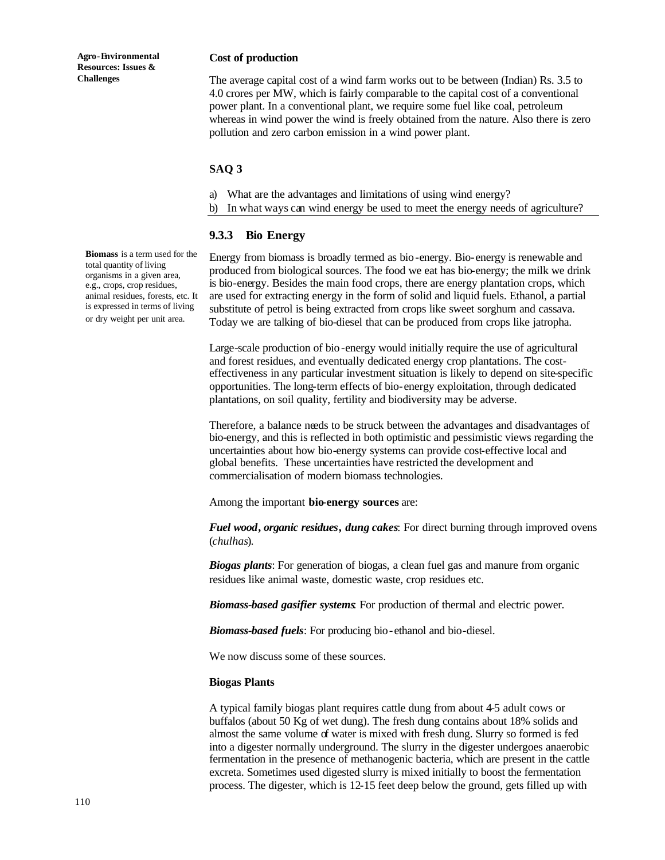#### **Cost of production**

The average capital cost of a wind farm works out to be between (Indian) Rs. 3.5 to 4.0 crores per MW, which is fairly comparable to the capital cost of a conventional power plant. In a conventional plant, we require some fuel like coal, petroleum whereas in wind power the wind is freely obtained from the nature. Also there is zero pollution and zero carbon emission in a wind power plant.

#### **SAQ 3**

- a) What are the advantages and limitations of using wind energy?
- b) In what ways can wind energy be used to meet the energy needs of agriculture?

#### **9.3.3 Bio Energy**

Energy from biomass is broadly termed as bio-energy. Bio-energy is renewable and produced from biological sources. The food we eat has bio-energy; the milk we drink is bio-energy. Besides the main food crops, there are energy plantation crops, which are used for extracting energy in the form of solid and liquid fuels. Ethanol, a partial substitute of petrol is being extracted from crops like sweet sorghum and cassava. Today we are talking of bio-diesel that can be produced from crops like jatropha.

Large-scale production of bio -energy would initially require the use of agricultural and forest residues, and eventually dedicated energy crop plantations. The costeffectiveness in any particular investment situation is likely to depend on site-specific opportunities. The long-term effects of bio-energy exploitation, through dedicated plantations, on soil quality, fertility and biodiversity may be adverse.

Therefore, a balance needs to be struck between the advantages and disadvantages of bio-energy, and this is reflected in both optimistic and pessimistic views regarding the uncertainties about how bio-energy systems can provide cost-effective local and global benefits. These uncertainties have restricted the development and commercialisation of modern biomass technologies.

Among the important **bio-energy sources** are:

*Fuel wood***,** *organic residues***,** *dung cakes*: For direct burning through improved ovens (*chulhas*).

*Biogas plants*: For generation of biogas, a clean fuel gas and manure from organic residues like animal waste, domestic waste, crop residues etc.

*Biomass-based gasifier systems*: For production of thermal and electric power.

*Biomass-based fuels*: For producing bio-ethanol and bio-diesel.

We now discuss some of these sources.

#### **Biogas Plants**

A typical family biogas plant requires cattle dung from about 4-5 adult cows or buffalos (about 50 Kg of wet dung). The fresh dung contains about 18% solids and almost the same volume of water is mixed with fresh dung. Slurry so formed is fed into a digester normally underground. The slurry in the digester undergoes anaerobic fermentation in the presence of methanogenic bacteria, which are present in the cattle excreta. Sometimes used digested slurry is mixed initially to boost the fermentation process. The digester, which is 12-15 feet deep below the ground, gets filled up with

**Biomass** is a term used for the total quantity of living organisms in a given area, e.g., crops, crop residues, animal residues, forests, etc. It is expressed in terms of living or dry weight per unit area.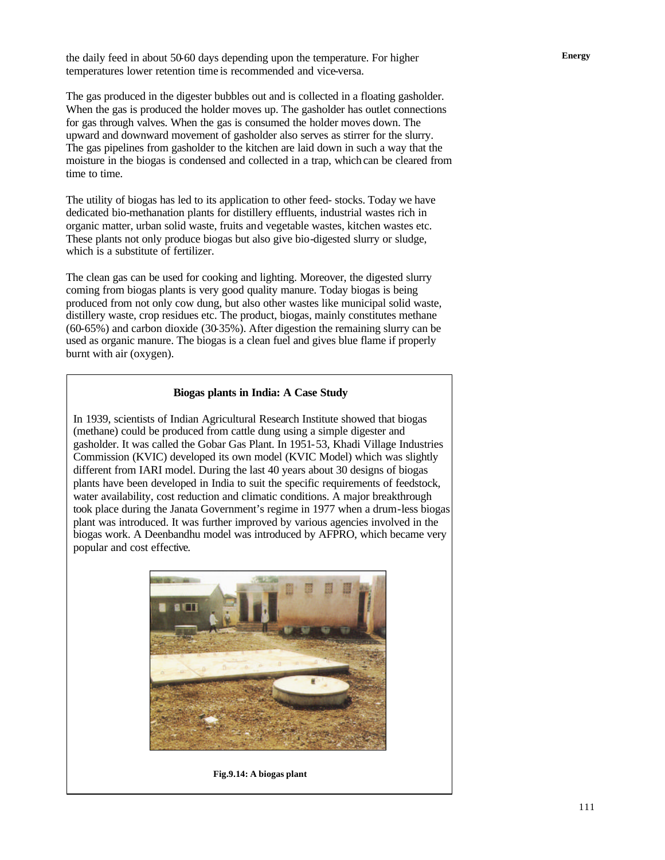**Energy** the daily feed in about 50-60 days depending upon the temperature. For higher temperatures lower retention time is recommended and vice-versa.

The gas produced in the digester bubbles out and is collected in a floating gasholder. When the gas is produced the holder moves up. The gasholder has outlet connections for gas through valves. When the gas is consumed the holder moves down. The upward and downward movement of gasholder also serves as stirrer for the slurry. The gas pipelines from gasholder to the kitchen are laid down in such a way that the moisture in the biogas is condensed and collected in a trap, which can be cleared from time to time.

The utility of biogas has led to its application to other feed- stocks. Today we have dedicated bio-methanation plants for distillery effluents, industrial wastes rich in organic matter, urban solid waste, fruits and vegetable wastes, kitchen wastes etc. These plants not only produce biogas but also give bio-digested slurry or sludge, which is a substitute of fertilizer.

The clean gas can be used for cooking and lighting. Moreover, the digested slurry coming from biogas plants is very good quality manure. Today biogas is being produced from not only cow dung, but also other wastes like municipal solid waste, distillery waste, crop residues etc. The product, biogas, mainly constitutes methane (60-65%) and carbon dioxide (30-35%). After digestion the remaining slurry can be used as organic manure. The biogas is a clean fuel and gives blue flame if properly burnt with air (oxygen).

#### **Biogas plants in India: A Case Study**

In 1939, scientists of Indian Agricultural Research Institute showed that biogas (methane) could be produced from cattle dung using a simple digester and gasholder. It was called the Gobar Gas Plant. In 1951-53, Khadi Village Industries Commission (KVIC) developed its own model (KVIC Model) which was slightly different from IARI model. During the last 40 years about 30 designs of biogas plants have been developed in India to suit the specific requirements of feedstock, water availability, cost reduction and climatic conditions. A major breakthrough took place during the Janata Government's regime in 1977 when a drum-less biogas plant was introduced. It was further improved by various agencies involved in the biogas work. A Deenbandhu model was introduced by AFPRO, which became very popular and cost effective.



**Fig.9.14: A biogas plant**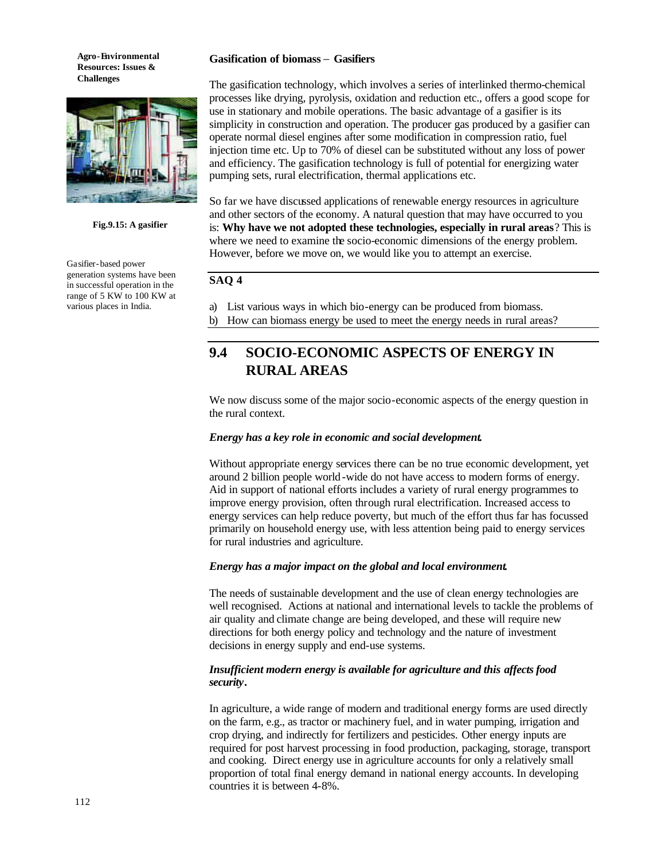

**Fig.9.15: A gasifier**

Gasifier-based power generation systems have been in successful operation in the range of 5 KW to 100 KW at various places in India.

#### **Gasification of biomass** − **Gasifiers**

The gasification technology, which involves a series of interlinked thermo-chemical processes like drying, pyrolysis, oxidation and reduction etc., offers a good scope for use in stationary and mobile operations. The basic advantage of a gasifier is its simplicity in construction and operation. The producer gas produced by a gasifier can operate normal diesel engines after some modification in compression ratio, fuel injection time etc. Up to 70% of diesel can be substituted without any loss of power and efficiency. The gasification technology is full of potential for energizing water pumping sets, rural electrification, thermal applications etc.

So far we have discussed applications of renewable energy resources in agriculture and other sectors of the economy. A natural question that may have occurred to you is: **Why have we not adopted these technologies, especially in rural areas**? This is where we need to examine the socio-economic dimensions of the energy problem. However, before we move on, we would like you to attempt an exercise.

### **SAQ 4**

- a) List various ways in which bio-energy can be produced from biomass.
- b) How can biomass energy be used to meet the energy needs in rural areas?

# **9.4 SOCIO-ECONOMIC ASPECTS OF ENERGY IN RURAL AREAS**

We now discuss some of the major socio-economic aspects of the energy question in the rural context.

#### *Energy has a key role in economic and social development.*

Without appropriate energy services there can be no true economic development, yet around 2 billion people world-wide do not have access to modern forms of energy. Aid in support of national efforts includes a variety of rural energy programmes to improve energy provision, often through rural electrification. Increased access to energy services can help reduce poverty, but much of the effort thus far has focussed primarily on household energy use, with less attention being paid to energy services for rural industries and agriculture.

#### *Energy has a major impact on the global and local environment.*

The needs of sustainable development and the use of clean energy technologies are well recognised. Actions at national and international levels to tackle the problems of air quality and climate change are being developed, and these will require new directions for both energy policy and technology and the nature of investment decisions in energy supply and end-use systems.

#### *Insufficient modern energy is available for agriculture and this affects food security***.**

In agriculture, a wide range of modern and traditional energy forms are used directly on the farm, e.g., as tractor or machinery fuel, and in water pumping, irrigation and crop drying, and indirectly for fertilizers and pesticides. Other energy inputs are required for post harvest processing in food production, packaging, storage, transport and cooking. Direct energy use in agriculture accounts for only a relatively small proportion of total final energy demand in national energy accounts. In developing countries it is between 4-8%.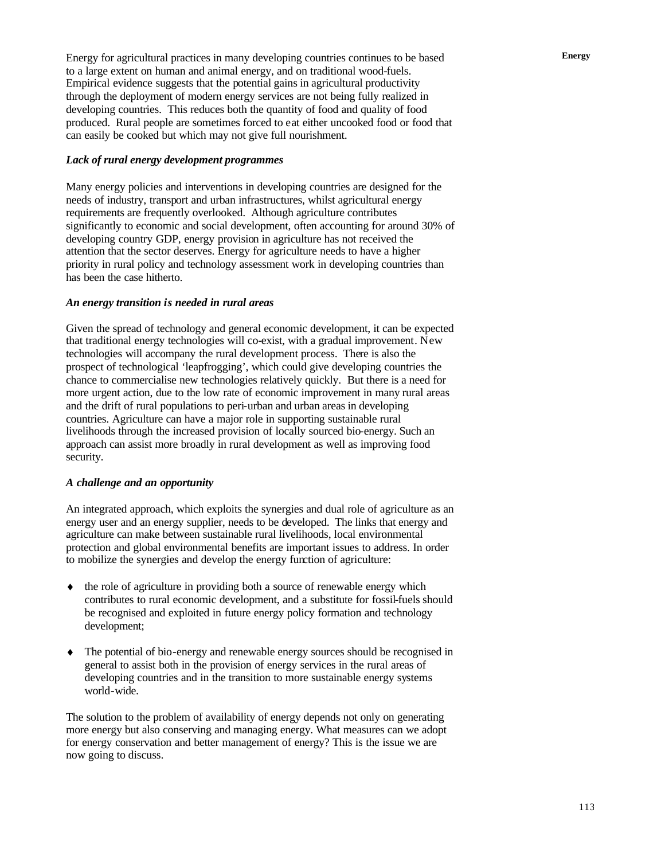Energy for agricultural practices in many developing countries continues to be based **Energy** to a large extent on human and animal energy, and on traditional wood-fuels. Empirical evidence suggests that the potential gains in agricultural productivity through the deployment of modern energy services are not being fully realized in developing countries. This reduces both the quantity of food and quality of food produced. Rural people are sometimes forced to eat either uncooked food or food that can easily be cooked but which may not give full nourishment.

#### *Lack of rural energy development programmes*

Many energy policies and interventions in developing countries are designed for the needs of industry, transport and urban infrastructures, whilst agricultural energy requirements are frequently overlooked. Although agriculture contributes significantly to economic and social development, often accounting for around 30% of developing country GDP, energy provision in agriculture has not received the attention that the sector deserves. Energy for agriculture needs to have a higher priority in rural policy and technology assessment work in developing countries than has been the case hitherto.

#### *An energy transition is needed in rural areas*

Given the spread of technology and general economic development, it can be expected that traditional energy technologies will co-exist, with a gradual improvement. New technologies will accompany the rural development process. There is also the prospect of technological 'leapfrogging', which could give developing countries the chance to commercialise new technologies relatively quickly. But there is a need for more urgent action, due to the low rate of economic improvement in many rural areas and the drift of rural populations to peri-urban and urban areas in developing countries. Agriculture can have a major role in supporting sustainable rural livelihoods through the increased provision of locally sourced bio-energy. Such an approach can assist more broadly in rural development as well as improving food security.

#### *A challenge and an opportunity*

An integrated approach, which exploits the synergies and dual role of agriculture as an energy user and an energy supplier, needs to be developed. The links that energy and agriculture can make between sustainable rural livelihoods, local environmental protection and global environmental benefits are important issues to address. In order to mobilize the synergies and develop the energy function of agriculture:

- the role of agriculture in providing both a source of renewable energy which contributes to rural economic development, and a substitute for fossil-fuels should be recognised and exploited in future energy policy formation and technology development;
- ♦ The potential of bio-energy and renewable energy sources should be recognised in general to assist both in the provision of energy services in the rural areas of developing countries and in the transition to more sustainable energy systems world-wide.

The solution to the problem of availability of energy depends not only on generating more energy but also conserving and managing energy. What measures can we adopt for energy conservation and better management of energy? This is the issue we are now going to discuss.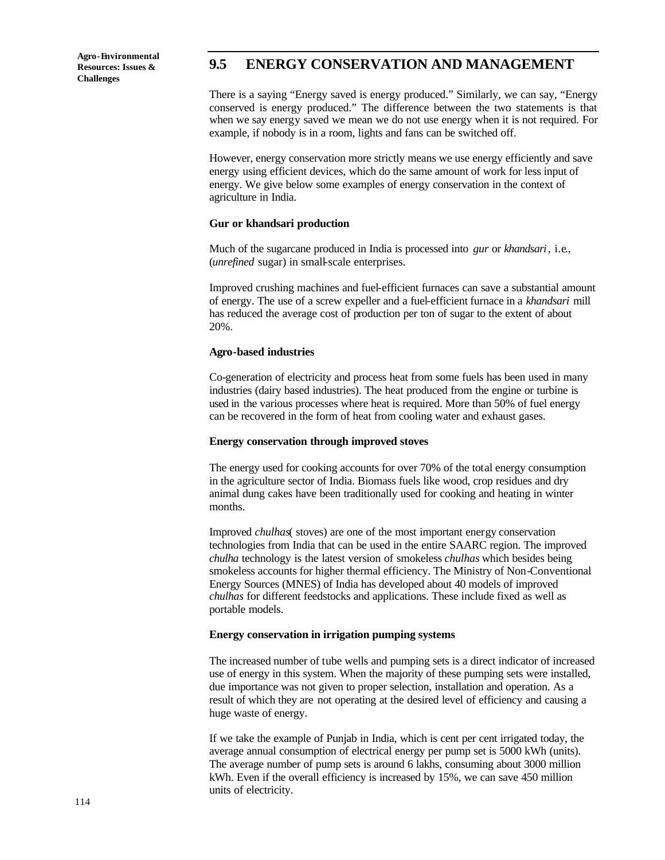## **9.5 ENERGY CONSERVATION AND MANAGEMENT**

There is a saying "Energy saved is energy produced." Similarly, we can say, "Energy conserved is energy produced." The difference between the two statements is that when we say energy saved we mean we do not use energy when it is not required. For example, if nobody is in a room, lights and fans can be switched off.

However, energy conservation more strictly means we use energy efficiently and save energy using efficient devices, which do the same amount of work for less input of energy. We give below some examples of energy conservation in the context of agriculture in India.

#### **Gur or khandsari production**

Much of the sugarcane produced in India is processed into *gur* or *khandsari*, i.e., (*unrefined* sugar) in small-scale enterprises.

Improved crushing machines and fuel-efficient furnaces can save a substantial amount of energy. The use of a screw expeller and a fuel-efficient furnace in a *khandsari* mill has reduced the average cost of production per ton of sugar to the extent of about 20%.

#### **Agro-based industries**

Co-generation of electricity and process heat from some fuels has been used in many industries (dairy based industries). The heat produced from the engine or turbine is used in the various processes where heat is required. More than 50% of fuel energy can be recovered in the form of heat from cooling water and exhaust gases.

#### **Energy conservation through improved stoves**

The energy used for cooking accounts for over 70% of the total energy consumption in the agriculture sector of India. Biomass fuels like wood, crop residues and dry animal dung cakes have been traditionally used for cooking and heating in winter months.

Improved *chulhas*( stoves) are one of the most important energy conservation technologies from India that can be used in the entire SAARC region. The improved *chulha* technology is the latest version of smokeless *chulhas* which besides being smokeless accounts for higher thermal efficiency. The Ministry of Non-Conventional Energy Sources (MNES) of India has developed about 40 models of improved *chulhas* for different feedstocks and applications. These include fixed as well as portable models.

#### **Energy conservation in irrigation pumping systems**

The increased number of tube wells and pumping sets is a direct indicator of increased use of energy in this system. When the majority of these pumping sets were installed, due importance was not given to proper selection, installation and operation. As a result of which they are not operating at the desired level of efficiency and causing a huge waste of energy.

If we take the example of Punjab in India, which is cent per cent irrigated today, the average annual consumption of electrical energy per pump set is 5000 kWh (units). The average number of pump sets is around 6 lakhs, consuming about 3000 million kWh. Even if the overall efficiency is increased by 15%, we can save 450 million units of electricity.